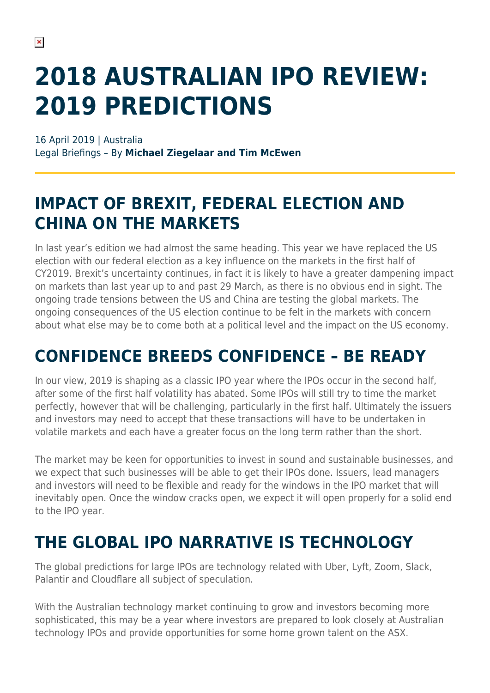# **2018 AUSTRALIAN IPO REVIEW: 2019 PREDICTIONS**

16 April 2019 | Australia Legal Briefings – By **Michael Ziegelaar and Tim McEwen**

#### **IMPACT OF BREXIT, FEDERAL ELECTION AND CHINA ON THE MARKETS**

In last year's edition we had almost the same heading. This year we have replaced the US election with our federal election as a key influence on the markets in the first half of CY2019. Brexit's uncertainty continues, in fact it is likely to have a greater dampening impact on markets than last year up to and past 29 March, as there is no obvious end in sight. The ongoing trade tensions between the US and China are testing the global markets. The ongoing consequences of the US election continue to be felt in the markets with concern about what else may be to come both at a political level and the impact on the US economy.

## **CONFIDENCE BREEDS CONFIDENCE – BE READY**

In our view, 2019 is shaping as a classic IPO year where the IPOs occur in the second half, after some of the first half volatility has abated. Some IPOs will still try to time the market perfectly, however that will be challenging, particularly in the first half. Ultimately the issuers and investors may need to accept that these transactions will have to be undertaken in volatile markets and each have a greater focus on the long term rather than the short.

The market may be keen for opportunities to invest in sound and sustainable businesses, and we expect that such businesses will be able to get their IPOs done. Issuers, lead managers and investors will need to be flexible and ready for the windows in the IPO market that will inevitably open. Once the window cracks open, we expect it will open properly for a solid end to the IPO year.

### **THE GLOBAL IPO NARRATIVE IS TECHNOLOGY**

The global predictions for large IPOs are technology related with Uber, Lyft, Zoom, Slack, Palantir and Cloudflare all subject of speculation.

With the Australian technology market continuing to grow and investors becoming more sophisticated, this may be a year where investors are prepared to look closely at Australian technology IPOs and provide opportunities for some home grown talent on the ASX.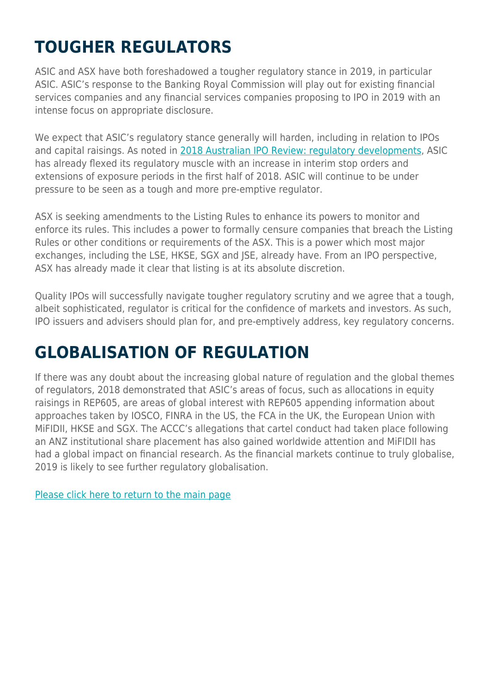# **TOUGHER REGULATORS**

ASIC and ASX have both foreshadowed a tougher regulatory stance in 2019, in particular ASIC. ASIC's response to the Banking Royal Commission will play out for existing financial services companies and any financial services companies proposing to IPO in 2019 with an intense focus on appropriate disclosure.

We expect that ASIC's regulatory stance generally will harden, including in relation to IPOs and capital raisings. As noted in [2018 Australian IPO Review: regulatory developments](https://www.herbertsmithfreehills.com/latest-thinking/2018-australian-ipo-review-regulatory-developments), ASIC has already flexed its regulatory muscle with an increase in interim stop orders and extensions of exposure periods in the first half of 2018. ASIC will continue to be under pressure to be seen as a tough and more pre-emptive regulator.

ASX is seeking amendments to the Listing Rules to enhance its powers to monitor and enforce its rules. This includes a power to formally censure companies that breach the Listing Rules or other conditions or requirements of the ASX. This is a power which most major exchanges, including the LSE, HKSE, SGX and JSE, already have. From an IPO perspective, ASX has already made it clear that listing is at its absolute discretion.

Quality IPOs will successfully navigate tougher regulatory scrutiny and we agree that a tough, albeit sophisticated, regulator is critical for the confidence of markets and investors. As such, IPO issuers and advisers should plan for, and pre-emptively address, key regulatory concerns.

#### **GLOBALISATION OF REGULATION**

If there was any doubt about the increasing global nature of regulation and the global themes of regulators, 2018 demonstrated that ASIC's areas of focus, such as allocations in equity raisings in REP605, are areas of global interest with REP605 appending information about approaches taken by IOSCO, FINRA in the US, the FCA in the UK, the European Union with MiFIDII, HKSE and SGX. The ACCC's allegations that cartel conduct had taken place following an ANZ institutional share placement has also gained worldwide attention and MiFIDII has had a global impact on financial research. As the financial markets continue to truly globalise, 2019 is likely to see further regulatory globalisation.

[Please click here to return to the main page](https://www.herbertsmithfreehills.com/latest-thinking/ready-for-launch-the-2018-australian-ipo-review)